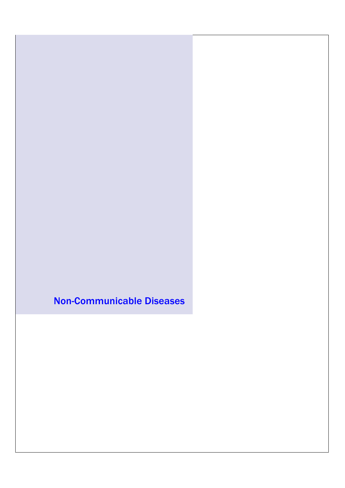Non-Communicable Diseases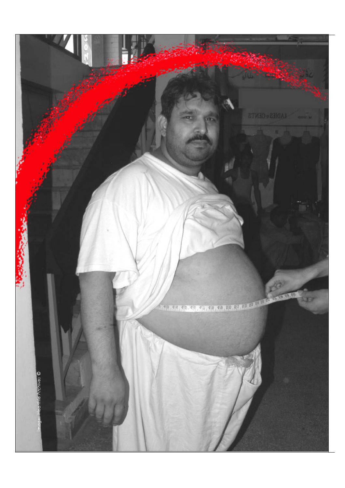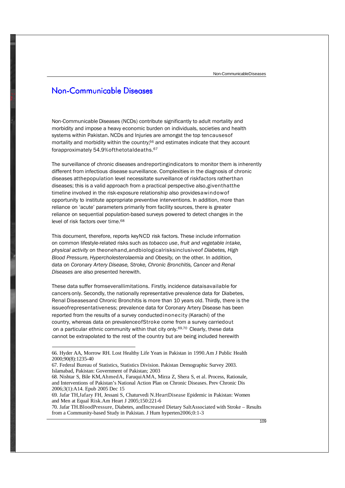### Non-Communicable Diseases

Non-Communicable Diseases (NCDs) contribute significantly to adult mortality and morbidity and impose a heavy economic burden on individuals, societies and health systems within Pakistan. NCDs and Injuries are amongst the top tencausesof mortality and morbidity within the country, $66$  and estimates indicate that they account forapproximately 54.9%ofthetotaldeaths.<sup>67</sup>

The surveillance of chronic diseases andreportingindicators to monitor them is inherently different from infectious disease surveillance. Complexities in the diagnosis of chronic diseases atthepopulation level necessitate surveillance of riskfactors ratherthan diseases; this is a valid approach from a practical perspective also,giventhatthe timeline involved in the risk-exposure relationship also providesawindowof opportunity to institute appropriate preventive interventions. In addition, more than reliance on 'acute' parameters primarily from facility sources, there is greater reliance on sequential population-based surveys powered to detect changes in the level of risk factors over time.<sup>68</sup>

This document, therefore, reports keyNCD risk factors. These include information on common lifestyle-related risks such as , *tobacco use fruit and vegetable intake, physical activity* on theonehand,andbiologicalrisksinclusiveof *Diabetes, High Blood Pressure*, *Hypercholesterolaemia* and *Obesity,* on the other. In addition, data on *Coronary Artery Disease, Stroke, Chronic Bronchitis, Cancer* and *Renal Diseases* are also presented herewith.

These data suffer fromseverallimitations. Firstly, incidence dataisavailable for cancers only. Secondly, the nationally representative prevalence data for Diabetes, Renal Diseasesand Chronic Bronchitis is more than 10 years old. Thirdly, there is the issueofrepresentativeness; prevalence data for Coronary Artery Disease has been reported from the results of a survey conductedinonecity (Karachi) of the country, whereas data on prevalenceofStroke come from a survey carriedout on a particular ethnic community within that city only.<sup>69,70</sup> Clearly, these data cannot be extrapolated to the rest of the country but are being included herewith

68. Nishtar S, Bile KM,AhmedA, FaruquiAMA, Mirza Z, Shera S, et al. Process, Rationale, and Interventions of Pakistan's National Action Plan on Chronic Diseases. Prev Chronic Dis 2006;3(1):A14. Epub 2005 Dec 15

70. Jafar TH.BloodPressure, Diabetes, andIncreased Dietary SaltAssociated with Stroke – Results from a Community-based Study in Pakistan. J Hum hyperten2006;0:1-3

<sup>66.</sup> Hyder AA, Morrow RH. Lost Healthy Life Years in Pakistan in 1990.Am J Public Health 2000;90(8):1235-40

<sup>67.</sup> Federal Bureau of Statistics, Statistics Division. Pakistan Demographic Survey 2003. Islamabad, Pakistan: Government of Pakistan; 2003

<sup>69.</sup> Jafar TH,Jafary FH, Jessani S, Chaturvedi N.HeartDisease Epidemic in Pakistan: Women and Men at Equal Risk.Am Heart J 2005;150:221-6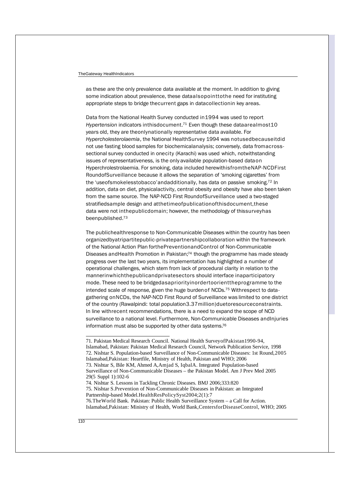#### TheGateway HealthIndicators

some indication about prevalence, these dataalsopointtothe need for instituting appropriate steps to bridge thecurrent gaps in datacollectionin key areas. as these are the only prevalence data available at the moment. In addition to giving

Data from the National Health Survey conducted in1994 was used to report *Hypertension* indicators inthisdocument.<sup>71</sup> Even though these dataarealmost10 years old, they are theonlynationally representative data available. For *Hypercholesterolaemia,* the National HealthSurvey 1994 was notusedbecauseitdid not use fasting blood samples for biochemicalanalysis; conversely, data fromacrosssectional survey conducted in onecity (Karachi) was used which, notwithstanding issues of representativeness, is the only available population-based dataon Hyperchrolestrolaemia. For smoking, data included herewithisfromtheNAP-NCDFirst RoundofSurveillance because it allows the separation of 'smoking cigarettes' from the 'useofsmokelesstobacco'andadditionally, has data on passive smoking.<sup>72</sup> In addition, data on diet, physicalactivity, central obesity and obesity have also been taken from the same source. The NAP-NCD First RoundofSurveillance used a two-staged stratifiedsample design and atthetimeofpublicationofthisdocument,these data were not inthepublicdomain; however, the methodology of thissurveyhas beenpublished.<sup>73</sup>

The publichealthresponse to Non-Communicable Diseases within the country has been organizedbyatripartitepublic-privatepartnershipcollaboration within the framework of the National Action Plan forthePreventionandControl of Non-Communicable Diseases andHealth Promotion in Pakistan; <sup>74</sup> though the programme has made steady progress over the last two years, its implementation has highlighted a number of operational challenges, which stem from lack of procedural clarity in relation to the mannerinwhichthepublicandprivatesectors should interface inaparticipatory mode. These need to be bridgedasapriorityinordertoorienttheprogramme to the intended scale of response, given the huge burdenof NCDs. <sup>75</sup> Withrespect to datagathering onNCDs, the NAP-NCD First Round of Surveillance was limited to one district of the country (Rawalpindi: total population3.37million)duetoresourceconstraints. In line withrecent recommendations, there is a need to expand the scope of NCD surveillance to a national level. Furthermore, Non-Communicable Diseases andInjuries information must also be supported by other data systems.<sup>76</sup>

74. Nishtar S. Lessons in Tackling Chronic Diseases. BMJ 2006;333:820 75. Nishtar S.Prevention of Non-Communicable Diseases in Pakistan: an Integrated Partnership-based Model.HealthResPolicySyst2004;2(1):7

76.TheWorld Bank. Pakistan: Public Health Surveillance System–a Call for Action. Islamabad,Pakistan: Ministry of Health, World Bank,CentersforDiseaseControl, WHO; 2005

<sup>71.</sup> Pakistan Medical Research Council. National Health SurveyofPakistan1990-94, Islamabad, Pakistan: Pakistan Medical Research Council, Network Publication Service, 1998 72. Nishtar S. Population-based Surveillance of Non-Communicable Diseases: 1st Round,2005 Islamabad,Pakistan: Heartfile, Ministry of Health, Pakistan and WHO; 2006 73. Nishtar S, Bile KM, Ahmed A,Amjad S, IqbalA. Integrated Population-based Surveillance of Non-Communicable Diseases – the Pakistan Model. Am J Prev Med 2005 29(5 Suppl 1):102-6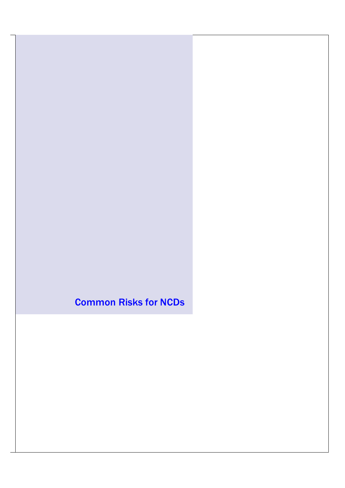Common Risks for NCDs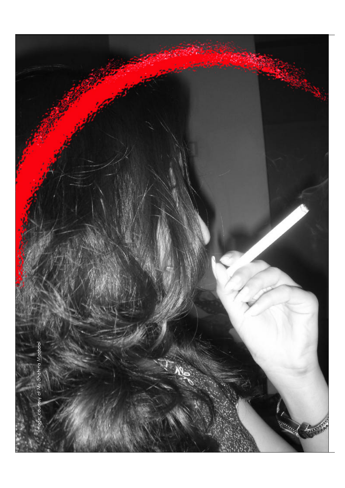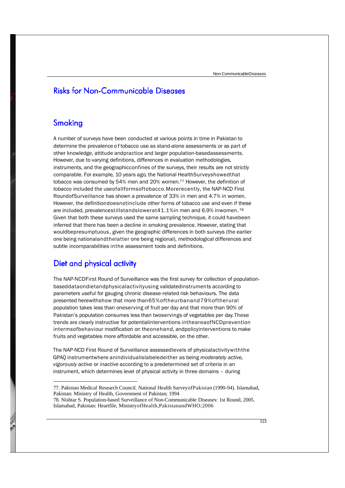## **Risks for Non-Communicable Diseases**

### Smoking

A number of surveys have been conducted at various points in time in Pakistan to determine the prevalence of tobacco use as stand-alone assessments or as part of other knowledge, attitude andpractice and larger population-basedassessments. However, due to varying definitions, differences in evaluation methodologies, instruments, and the geographicconfines of the surveys, their results are not strictly comparable. For example, 10 years ago, the National HealthSurveyshowedthat tobacco was consumed by 54% men and 20% women.<sup>77</sup> However, the definition of *tobacco* included the useofallformsoftobacco.Morerecently, the NAP-NCD First RoundofSurveillance has shown a prevalence of 33% in men and 4.7% in women. However, the definitiondoesnotinclude other forms of tobacco use and even if these are included, prevalencestillstandslowerat41.1%in men and 6.9% inwomen. <sup>78</sup> Given that both these surveys used the same sampling technique, it could havebeen inferred that there has been a decline in smoking prevalence. However, stating that wouldbepresumptuous , given the geographic differences in both surveys (the earlier one being nationalandthelatter one being regional), methodological differences and subtle incomparabilities inthe assessment tools and definitions.

## Diet and physical activity

The NAP-NCDFirst Round of Surveillance was the first survey for collection of populationbaseddataondietandphysicalactivityusing validatedinstruments according to parameters useful for gauging chronic disease-related risk behaviours. The data presented herewithshow that more than65%oftheurbanand79%oftherural population takes less than oneserving of fruit per day and that more than 90% of Pakistan's population consumes less than twoservings of vegetables per day.These trends are clearly instructive for potentialinterventions intheareaofNCDprevention intermsofbehaviour modification on theonehand, andpolicyinterventions to make fruits and vegetables more affordable and accessible, on the other.

The NAP-NCD First Round of Surveillance assessedlevels of physicalactivitywiththe GPAQ instrumentwhere anindividualislabeledeither as being *moderately active, vigorously* active or *inactive* according to a predetermined set of criteria in an instrument, which determines level of physical activity in three domains – during

78. Nishtar S. Population-based Surveillance of Non-Communicable Diseases: 1st Round, 2005. Islamabad, Pakistan: Heartfile, MinistryofHealth,PakistanandWHO;2006

<sup>77.</sup> Pakistan Medical Research Council. National Health SurveyofPakistan (1990-94). Islamabad, Pakistan: Ministry of Health, Government of Pakistan; 1994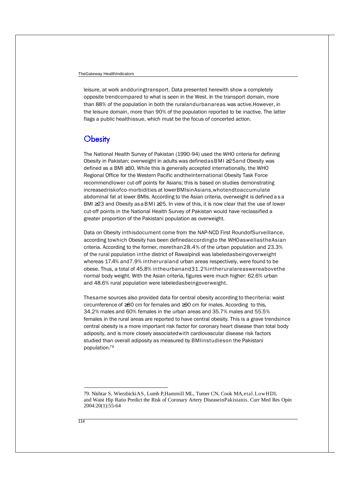the leisure domain, more than 90% of the population reported to be inactive. The latter than 88% of the population in both the ruralandurbanareas was active.However, in flags a public healthissue, which must be the focus of concerted action. leisure, at work andduringtransport. Data presented herewith show a completely opposite trendcompared to what is seen in the West. In the transport domain, more

### Obesity

The National Health Survey of Pakistan (1990-94) used the WHO criteria for defining Obesity in Pakistan; overweight in adults was definedasBMI ≥25and Obesity was defined as a BMI ≥30. While this is generally accepted internationally, the WHO Regional Office for the Western Pacific andtheInternational Obesity Task Force recommendlower cut-off points for Asians; this is based on studies demonstrating increasedriskofco-morbidities at lowerBMIsinAsians,whotendtoaccumulate abdominal fat at lower BMIs. According to the Asian criteria, overweight is defined a s a BMI  $\geq$  23 and Obesity as a BMI  $\geq$  25. In view of this, it is now clear that the use of lower cut-off points in the National Health Survey of Pakistan would have reclassified a greater proportion of the Pakistani population as overweight.

Data on Obesity inthisdocument come from the NAP-NCD First RoundofSurveillance, according towhich Obesity has been definedaccordingto the WHOaswellastheAsian criteria. According to the former, morethan28.4% of the urban population and 23.3% of the rural population inthe district of Rawalpindi was labeledasbeingoverweight whereas 17.4% and7.9% intheruraland urban areas respectively, were found to be obese. Thus, a total of 45.8% intheurbanand31.2%intheruralareaswereabovethe normal body weight. With the Asian criteria, figures were much higher: 62.6% urban and 48.6% rural population were labeledasbeingoverweight.

Thesame sources also provided data for central obesity according to thecriteria: waist 34.2% males and 60% females in the urban areas and 35.7% males and 55.5% females in the rural areas are reported to have central obesity. This is a grave trendsince central obesity is a more important risk factor for coronary heart disease than total body adiposity, and is more closely associatedwith cardiovascular disease risk factors studied than overall adiposity as measured by BMIinstudieson the Pakistani population.<sup>79</sup> circumference of ≥80 cm for females and ≥90 cm for males. According to this,

<sup>79.</sup> Nishtar S, WierzbickiAS, Lumb P,Hammill ML, Turner CN, Cook MA,etal.LowHDL and Waist Hip Ratio Predict the Risk of Coronary Artery DiseaseinPakistanis. Curr Med Res Opin 2004:20(1):55-64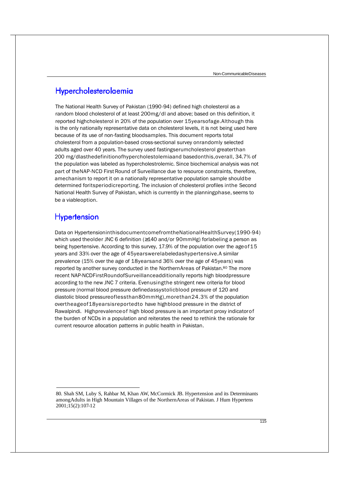## Hypercholesterolaemia

is the only nationally representative data on cholesterol levels, it is not being used here because of its use of non-fasting bloodsamples. This document reports total cholesterol from a population-based cross-sectional survey onrandomly selected adults aged over 40 years. The survey used fastingserumcholesterol greaterthan 200 mg/dlasthedefinitionofhypercholestolemiaand basedonthis,overall, 34.7% of the population was labeled as hypercholestrolemic. Since biochemical analysis was not part of theNAP-NCD First Round of Surveillance due to resource constraints, therefore, amechanism to report it on a nationally representative population sample shouldbe determined foritsperiodicreporting. The inclusion of cholesterol profiles inthe Second National Health Survey of Pakistan, which is currently in the planningphase, seems to be a viableoption. The National Health Survey of Pakistan (1990-94) defined high cholesterol as a random blood cholesterol of at least 200mg/dl and above; based on this definition, it reported highcholesterol in 20% of the population over 15yearsofage.Although this

### **Hypertension**

Data on HypertensioninthisdocumentcomefromtheNationalHealthSurvey(1990-94) which used theolder JNC 6 definition (≥140 and/or 90mmHg) forlabeling a person as being hypertensive. According to this survey, 17.9% of the population over the ageof15 years and 33% over the age of 45yearswerelabeledashypertensive.A similar prevalence (15% over the age of 18yearsand 36% over the age of 45years) was reported by another survey conducted in the NorthernAreas of Pakistan.<sup>80</sup> The more recent NAP-NCDFirstRoundofSurveillanceadditionally reports high bloodpressure according to the new JNC 7 criteria. Evenusingthe stringent new criteria for blood pressure (normal blood pressure definedassystolicblood pressure of 120 and diastolic blood pressureoflessthan80mmHg),morethan24.3% of the population overtheageof18yearsisreportedto have highblood pressure in the district of Rawalpindi. Highprevalenceof high blood pressure is an important proxy indicatorof the burden of NCDs in a population and reiterates the need to rethink the rationale for current resource allocation patterns in public health in Pakistan.

<sup>80.</sup> Shah SM, Luby S, Rahbar M, Khan AW, McCormick JB. Hypertension and its Determinants amongAdults in High Mountain Villages of the NorthernAreas of Pakistan. J Hum Hypertens 2001;15(2):107-12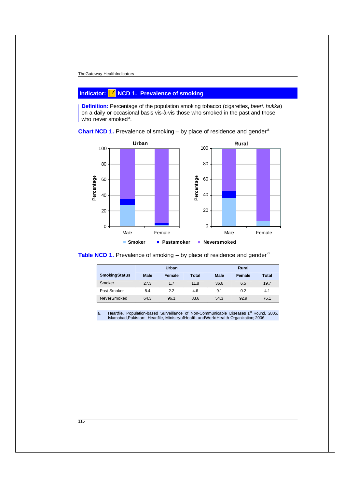#### TheGateway HealthIndicators

### **Indicator: NCD 1. Prevalence of smoking**

**Definition:** Percentage of the population smoking tobacco (cigarettes, beeri, hukka) on a daily or occasional basis vis-à-vis those who smoked in the past and those who never smoked<sup>a</sup>.





**Table NCD 1.** Prevalence of smoking – by place of residence and gender<sup>a</sup>

|                      | Urban       |        |       |             | Rural  |       |  |
|----------------------|-------------|--------|-------|-------------|--------|-------|--|
| <b>SmokingStatus</b> | <b>Male</b> | Female | Total | <b>Male</b> | Female | Total |  |
| Smoker               | 27.3        | 1.7    | 11.8  | 36.6        | 6.5    | 19.7  |  |
| Past Smoker          | 8.4         | 2.2    | 4.6   | 9.1         | 0.2    | 4.1   |  |
| NeverSmoked          | 64.3        | 96.1   | 83.6  | 54.3        | 92.9   | 76.1  |  |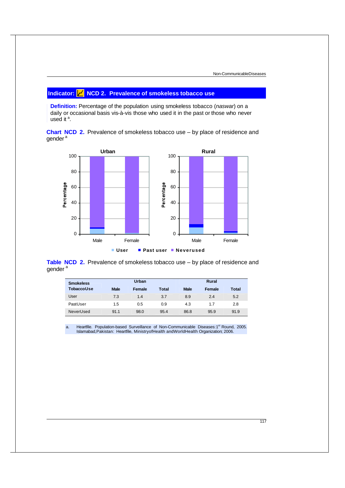#### **Indicator: NCD 2. Prevalence of smokeless tobacco use**

**Definition:** Percentage of the population using smokeless tobacco (*naswar*) on a daily or occasional basis vis-à-vis those who used it in the past or those who never used it  $a$ .





**Table NCD 2.** Prevalence of smokeless tobacco use – by place of residence and gender<sup>a</sup>

| <b>Smokeless</b> |             | Urban  |              |             | Rural  |       |
|------------------|-------------|--------|--------------|-------------|--------|-------|
| TobaccoUse       | <b>Male</b> | Female | <b>Total</b> | <b>Male</b> | Female | Total |
| User             | 7.3         | 1.4    | 3.7          | 8.9         | 2.4    | 5.2   |
| PastUser         | 1.5         | 0.5    | 0.9          | 4.3         | 1.7    | 2.8   |
| NeverUsed        | 91.1        | 98.0   | 95.4         | 86.8        | 95.9   | 91.9  |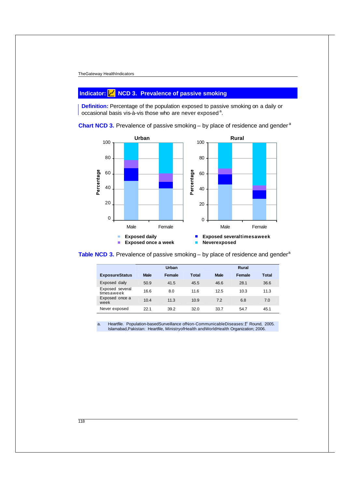#### **Indicator: NCD 3. Prevalence of passive smoking**

**Definition:** Percentage of the population exposed to passive smoking on a daily or occasional basis vis-à-vis those who are never exposed<sup>a</sup>.



**Chart NCD 3.** Prevalence of passive smoking – by place of residence and gender<sup>a</sup>

**Table NCD 3.** Prevalence of passive smoking – by place of residence and gender<sup>a</sup>

|                               | Urban       |        |       |             | Rural  |              |  |
|-------------------------------|-------------|--------|-------|-------------|--------|--------------|--|
| <b>ExposureStatus</b>         | <b>Male</b> | Female | Total | <b>Male</b> | Female | <b>Total</b> |  |
| Exposed daily                 | 50.9        | 41.5   | 45.5  | 46.6        | 28.1   | 36.6         |  |
| Exposed several<br>timesaweek | 16.6        | 8.0    | 11.6  | 12.5        | 10.3   | 11.3         |  |
| Exposed once a<br>week        | 10.4        | 11.3   | 10.9  | 7.2         | 6.8    | 7.0          |  |
| Never exposed                 | 221         | 39.2   | 32.0  | 33.7        | 54.7   | 45.1         |  |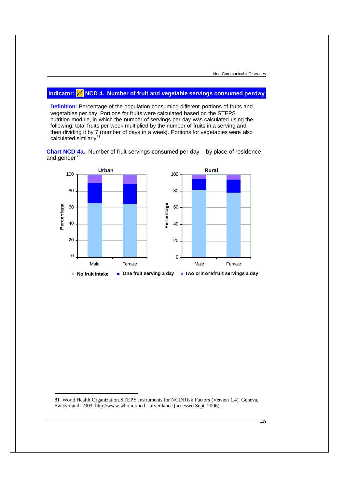#### **Indicator: NCD 4. Number of fruit and vegetable servings consumed perday**

**Definition:** Percentage of the population consuming different portions of fruits and vegetables per day. Portions for fruits were calculated based on the STEPS nutrition module, in which the number of servings per day was calculated using the following: total fruits per week multiplied by the number of fruits in a serving and then dividing it by 7 (number of days in a week). Portions for vegetables were also calculated similarly<sup>81</sup>.





81. World Health Organization.STEPS Instruments for NCDRisk Factors (Version 1.4). Geneva, Switzerland: 2003. http://www.who.int/ncd\_surveillance (accessed Sept. 2006)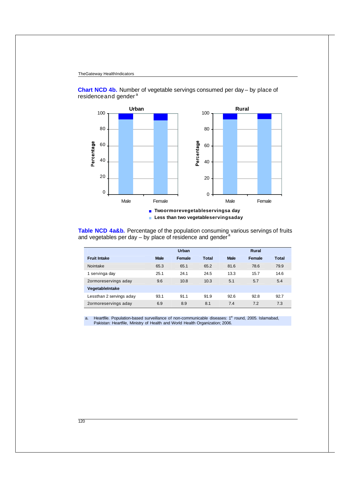

**Chart NCD 4b.** Number of vegetable servings consumed per day – by place of residence and gender<sup>a</sup>

**Table NCD 4a&b.** Percentage of the population consuming various servings of fruits and vegetables per day – by place of residence and gender <sup>a</sup>

|                          | Urban       |        |              | Rural       |        |              |
|--------------------------|-------------|--------|--------------|-------------|--------|--------------|
| <b>Fruit Intake</b>      | <b>Male</b> | Female | <b>Total</b> | <b>Male</b> | Female | <b>Total</b> |
| Nointake                 | 65.3        | 65.1   | 65.2         | 81.6        | 78.6   | 79.9         |
| 1 servinga day           | 25.1        | 24.1   | 24.5         | 13.3        | 15.7   | 14.6         |
| 2ormoreservings aday     | 9.6         | 10.8   | 10.3         | 5.1         | 5.7    | 5.4          |
| VegetableIntake          |             |        |              |             |        |              |
| Lessthan 2 servings aday | 93.1        | 91.1   | 91.9         | 92.6        | 92.8   | 92.7         |
| 2ormoreservings aday     | 6.9         | 8.9    | 8.1          | 7.4         | 7.2    | 7.3          |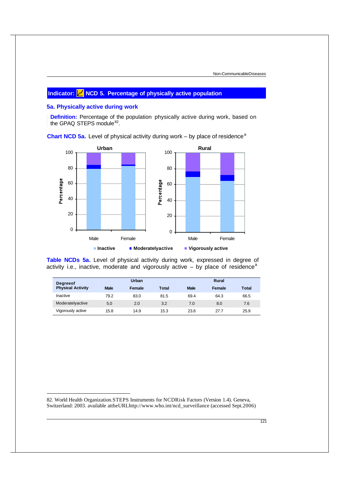### **Indicator: NCD 5. Percentage of physically active population**

#### **5a. Physically active during work**

**Definition:** Percentage of the population physically active during work, based on the GPAQ STEPS module<sup>82</sup>.

**Urban** 60 80 100 **Rural** 60 80 100

**Chart NCD 5a.** Level of physical activity during work – by place of residence<sup>a</sup>



**Table NCDs 5a.** Level of physical activity during work, expressed in degree of activity i.e., inactive, moderate and vigorously active  $-$  by place of residence<sup>a</sup>

| <b>Degreeof</b>          |             | Urban  |       |             | <b>Rural</b> |       |
|--------------------------|-------------|--------|-------|-------------|--------------|-------|
| <b>Physical Activity</b> | <b>Male</b> | Female | Total | <b>Male</b> | Female       | Total |
| Inactive                 | 79.2        | 83.0   | 81.5  | 69.4        | 64.3         | 66.5  |
| Moderatelyactive         | 5.0         | 2.0    | 3.2   | 7.0         | 8.0          | 7.6   |
| Vigorously active        | 15.8        | 14.9   | 15.3  | 23.6        | 27.7         | 25.9  |

82. World Health Organization.STEPS Instruments for NCDRisk Factors (Version 1.4). Geneva, Switzerland: 2003. available attheURLhttp://www.who.int/ncd\_surveillance (accessed Sept.2006)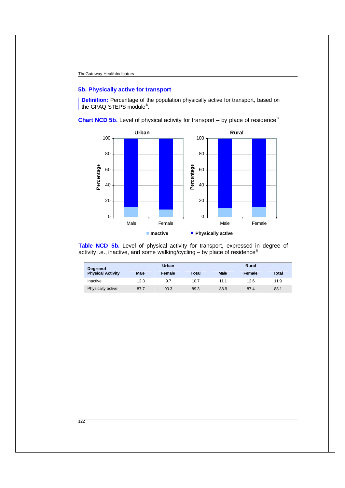#### **5b. Physically active for transport**

**Definition:** Percentage of the population physically active for transport, based on the GPAQ STEPS module<sup>a</sup>.

**Chart NCD 5b.** Level of physical activity for transport  $-$  by place of residence<sup>a</sup>



**Table NCD 5b.** Level of physical activity for transport, expressed in degree of activity i.e., inactive, and some walking/cycling  $-$  by place of residence<sup>a</sup>

| <b>Degreeof</b>          |             | Urban  |       |             | <b>Rural</b> |              |
|--------------------------|-------------|--------|-------|-------------|--------------|--------------|
| <b>Physical Activity</b> | <b>Male</b> | Female | Total | <b>Male</b> | Female       | <b>Total</b> |
| Inactive                 | 12.3        | 9.7    | 10.7  | 11.1        | 12.6         | 11.9         |
| Physically active        | 87.7        | 90.3   | 89.3  | 88.9        | 87.4         | 88.1         |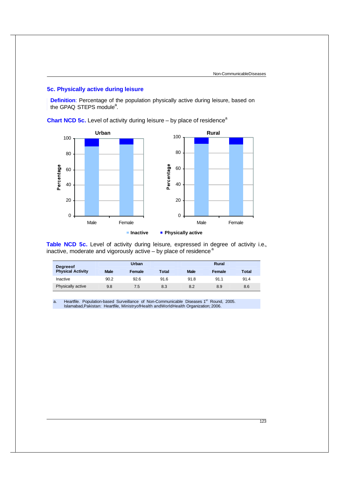#### **5c. Physically active during leisure**

**Definition**: Percentage of the population physically active during leisure, based on the GPAQ STEPS module<sup>a</sup>.

**Chart NCD 5c.** Level of activity during leisure – by place of residence<sup>a</sup>



**Table NCD 5c.** Level of activity during leisure, expressed in degree of activity i.e., inactive, moderate and vigorously active – by place of residence<sup>a</sup>

| <b>Degreeof</b>          |             | Urban  |              |             | <b>Rural</b> |       |
|--------------------------|-------------|--------|--------------|-------------|--------------|-------|
| <b>Physical Activity</b> | <b>Male</b> | Female | <b>Total</b> | <b>Male</b> | Female       | Total |
| Inactive                 | 90.2        | 92.6   | 91.6         | 91.8        | 91.1         | 91.4  |
| Physically active        | 9.8         | 7.5    | 8.3          | 8.2         | 8.9          | 8.6   |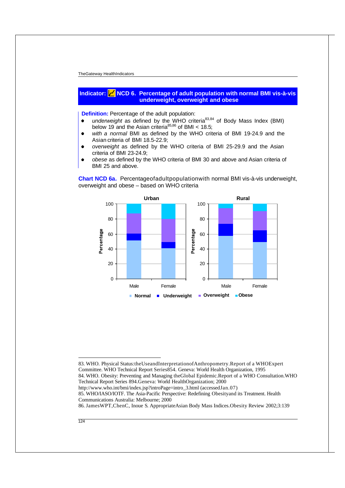#### **Indicator: NCD 6. Percentage of adult population with normal BMI vis-à-vis underweight, overweight and obese**

**Definition:** Percentage of the adult population:

- underweight as defined by the WHO criteria<sup>83,84</sup> of Body Mass Index (BMI)  $\bullet$ below 19 and the Asian criteria<sup>85,86</sup> of BMI < 18.5;
- *with a normal* BMI as defined by the WHO criteria of BMI 19-24.9 and the Asian criteria of BMI 18.5-22.9;
- *overweight* as defined by the WHO criteria of BMI 25-29.9 and the Asian  $\bullet$ criteria of BMI 23-24.9;
- *obese* as defined by the WHO criteria of BMI 30 and above and Asian criteria of BMI 25 and above.

**Chart NCD 6a.** Percentageofadultpopulationwith normal BMI vis-à-vis underweight, overweight and obese – based on WHO criteria



83. WHO. Physical Status:theUseandInterpretationofAnthropometry.Report of a WHOExpert Committee. WHO Technical Report Series854. Geneva: World Health Organization, 1995 84. WHO. Obesity: Preventing and Managing theGlobal Epidemic.Report of a WHO Consultation.WHO Technical Report Series 894.Geneva: World HealthOrganization; 2000

http://www.who.int/bmi/index.jsp?introPage=intro\_3.html (accessedJan.07)

85. WHO/IASO/IOTF. The Asia-Pacific Perspective: Redefining Obesityand its Treatment. Health Communications Australia: Melbourne; 2000

86. JamesWPT,ChenC, Inoue S. AppropriateAsian Body Mass Indices.Obesity Review 2002;3:139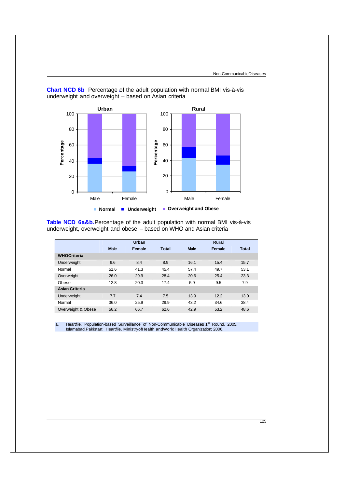

**Chart NCD 6b** Percentage of the adult population with normal BMI vis-à-vis underweight and overweight – based on Asian criteria

**Table NCD 6a&b.**Percentage of the adult population with normal BMI vis-à-vis underweight, overweight and obese – based on WHO and Asian criteria

|                       |             | Urban  |              |             | Rural  |       |
|-----------------------|-------------|--------|--------------|-------------|--------|-------|
|                       | <b>Male</b> | Female | <b>Total</b> | <b>Male</b> | Female | Total |
| <b>WHOCriteria</b>    |             |        |              |             |        |       |
| Underweight           | 9.6         | 8.4    | 8.9          | 16.1        | 15.4   | 15.7  |
| Normal                | 51.6        | 41.3   | 45.4         | 57.4        | 49.7   | 53.1  |
| Overweight            | 26.0        | 29.9   | 28.4         | 20.6        | 25.4   | 23.3  |
| Obese                 | 12.8        | 20.3   | 17.4         | 5.9         | 9.5    | 7.9   |
| <b>Asian Criteria</b> |             |        |              |             |        |       |
| Underweight           | 7.7         | 7.4    | 7.5          | 13.9        | 12.2   | 13.0  |
| Normal                | 36.0        | 25.9   | 29.9         | 43.2        | 34.6   | 38.4  |
| Overweight & Obese    | 56.2        | 66.7   | 62.6         | 42.9        | 53.2   | 48.6  |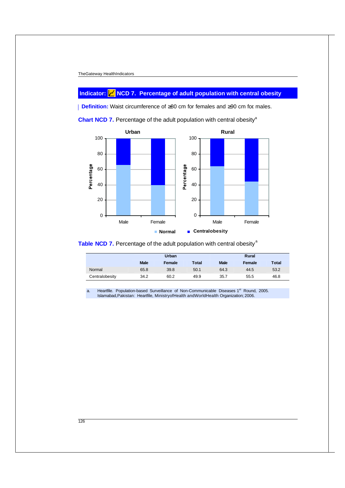### **Indicator: NCD 7. Percentage of adult population with central obesity**

**Definition:** Waist circumference of ≥80 cm for females and ≥90 cm for males.





**Table NCD 7.** Percentage of the adult population with central obesity<sup>a</sup>

|                |             | Urban  |       |             | <b>Rural</b> |              |  |
|----------------|-------------|--------|-------|-------------|--------------|--------------|--|
|                | <b>Male</b> | Female | Total | <b>Male</b> | Female       | <b>Total</b> |  |
| Normal         | 65.8        | 39.8   | 50.1  | 64.3        | 44.5         | 53.2         |  |
| Centralobesity | 34.2        | 60.2   | 49.9  | 35.7        | 55.5         | 46.8         |  |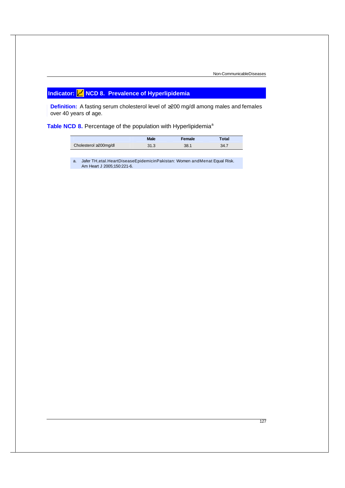# **Indicator: NCD 8. Prevalence of Hyperlipidemia**

**Definition:** A fasting serum cholesterol level of ≥200 mg/dl among males and females over 40 years of age.

Table NCD 8. Percentage of the population with Hyperlipidemia<sup>a</sup>

|                       | <b>Male</b> | Female | Гоtal |
|-----------------------|-------------|--------|-------|
| Cholesterol ≥200mg/dl | 31.3        | 38.1   | 34.7  |

a. Jafer TH,etal.HeartDiseaseEpidemicinPakistan: Women andMenat Equal Risk. Am Heart J 2005;150:221-6.

127